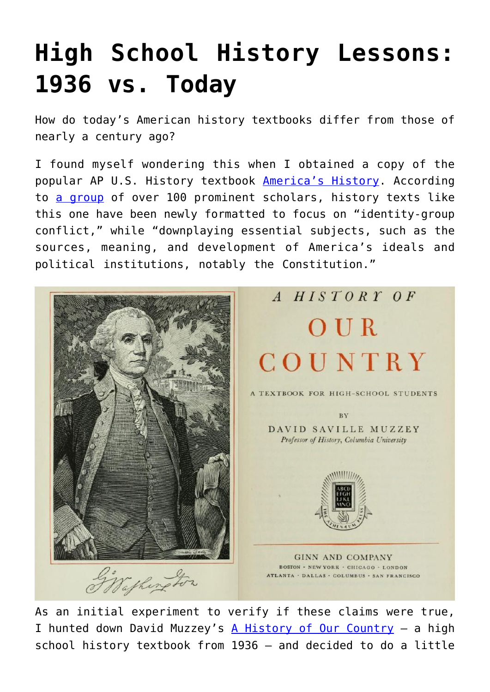## **[High School History Lessons:](https://intellectualtakeout.org/2015/07/high-school-history-lessons-1936-vs-today/) [1936 vs. Today](https://intellectualtakeout.org/2015/07/high-school-history-lessons-1936-vs-today/)**

How do today's American history textbooks differ from those of nearly a century ago?

I found myself wondering this when I obtained a copy of the popular AP U.S. History textbook [America's History](http://www.barnesandnoble.com/w/americas-history-for-the-ap-course-james-a-henretta/1118967272?ean=9781457628931&st=PLA&sid=BNB_DRS_Core+Shopping+Textbooks_00000000&2sid=Google_&sourceId=S67&k_clickid=3x67&kpid=9781457628931). According to [a group](http://www.nas.org/images/documents/Historians_Statement.pdf) of over 100 prominent scholars, history texts like this one have been newly formatted to focus on "identity-group conflict," while "downplaying essential subjects, such as the sources, meaning, and development of America's ideals and political institutions, notably the Constitution."



As an initial experiment to verify if these claims were true, I hunted down David Muzzey's [A History of Our Country](https://archive.org/stream/historyofourcoun00muzz#page/n9/mode/2up) – a high school history textbook from 1936 – and decided to do a little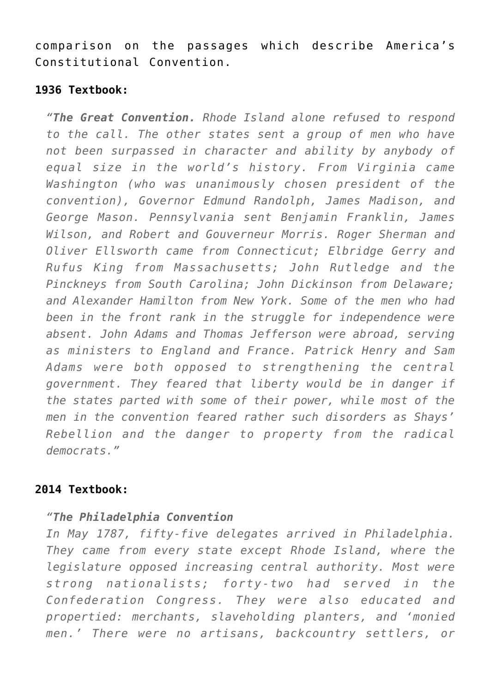comparison on the passages which describe America's Constitutional Convention.

## **1936 Textbook:**

*"The Great Convention. Rhode Island alone refused to respond to the call. The other states sent a group of men who have not been surpassed in character and ability by anybody of equal size in the world's history. From Virginia came Washington (who was unanimously chosen president of the convention), Governor Edmund Randolph, James Madison, and George Mason. Pennsylvania sent Benjamin Franklin, James Wilson, and Robert and Gouverneur Morris. Roger Sherman and Oliver Ellsworth came from Connecticut; Elbridge Gerry and Rufus King from Massachusetts; John Rutledge and the Pinckneys from South Carolina; John Dickinson from Delaware; and Alexander Hamilton from New York. Some of the men who had been in the front rank in the struggle for independence were absent. John Adams and Thomas Jefferson were abroad, serving as ministers to England and France. Patrick Henry and Sam Adams were both opposed to strengthening the central government. They feared that liberty would be in danger if the states parted with some of their power, while most of the men in the convention feared rather such disorders as Shays' Rebellion and the danger to property from the radical democrats."*

## **2014 Textbook:**

## *"The Philadelphia Convention*

*In May 1787, fifty-five delegates arrived in Philadelphia. They came from every state except Rhode Island, where the legislature opposed increasing central authority. Most were strong nationalists; forty-two had served in the Confederation Congress. They were also educated and propertied: merchants, slaveholding planters, and 'monied men.' There were no artisans, backcountry settlers, or*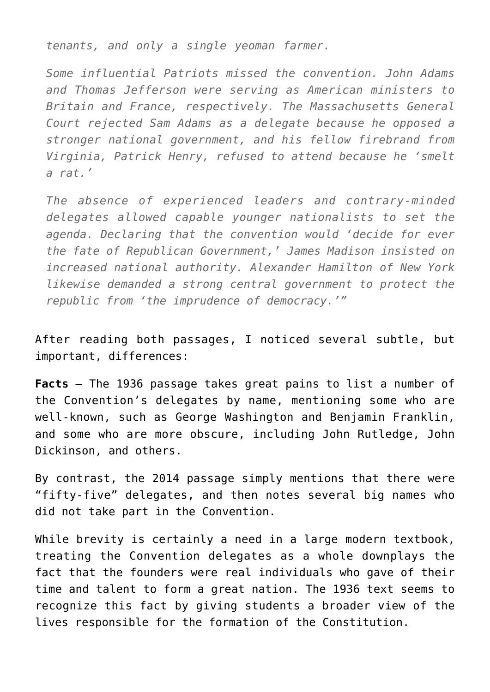*tenants, and only a single yeoman farmer.*

*Some influential Patriots missed the convention. John Adams and Thomas Jefferson were serving as American ministers to Britain and France, respectively. The Massachusetts General Court rejected Sam Adams as a delegate because he opposed a stronger national government, and his fellow firebrand from Virginia, Patrick Henry, refused to attend because he 'smelt a rat.'*

*The absence of experienced leaders and contrary-minded delegates allowed capable younger nationalists to set the agenda. Declaring that the convention would 'decide for ever the fate of Republican Government,' James Madison insisted on increased national authority. Alexander Hamilton of New York likewise demanded a strong central government to protect the republic from 'the imprudence of democracy.'"*

After reading both passages, I noticed several subtle, but important, differences:

**Facts** – The 1936 passage takes great pains to list a number of the Convention's delegates by name, mentioning some who are well-known, such as George Washington and Benjamin Franklin, and some who are more obscure, including John Rutledge, John Dickinson, and others.

By contrast, the 2014 passage simply mentions that there were "fifty-five" delegates, and then notes several big names who did not take part in the Convention.

While brevity is certainly a need in a large modern textbook, treating the Convention delegates as a whole downplays the fact that the founders were real individuals who gave of their time and talent to form a great nation. The 1936 text seems to recognize this fact by giving students a broader view of the lives responsible for the formation of the Constitution.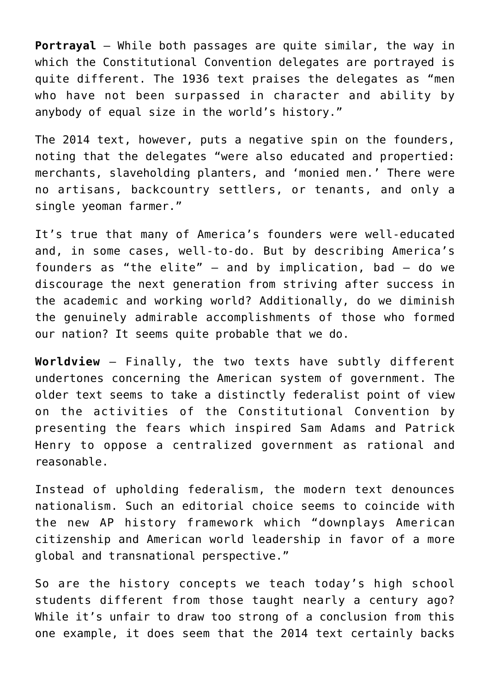**Portrayal** – While both passages are quite similar, the way in which the Constitutional Convention delegates are portrayed is quite different. The 1936 text praises the delegates as "men who have not been surpassed in character and ability by anybody of equal size in the world's history."

The 2014 text, however, puts a negative spin on the founders, noting that the delegates "were also educated and propertied: merchants, slaveholding planters, and 'monied men.' There were no artisans, backcountry settlers, or tenants, and only a single yeoman farmer."

It's true that many of America's founders were well-educated and, in some cases, well-to-do. But by describing America's founders as "the elite"  $-$  and by implication, bad  $-$  do we discourage the next generation from striving after success in the academic and working world? Additionally, do we diminish the genuinely admirable accomplishments of those who formed our nation? It seems quite probable that we do.

**Worldview** – Finally, the two texts have subtly different undertones concerning the American system of government. The older text seems to take a distinctly federalist point of view on the activities of the Constitutional Convention by presenting the fears which inspired Sam Adams and Patrick Henry to oppose a centralized government as rational and reasonable.

Instead of upholding federalism, the modern text denounces nationalism. Such an editorial choice seems to coincide with the new AP history framework which "downplays American citizenship and American world leadership in favor of a more global and transnational perspective."

So are the history concepts we teach today's high school students different from those taught nearly a century ago? While it's unfair to draw too strong of a conclusion from this one example, it does seem that the 2014 text certainly backs